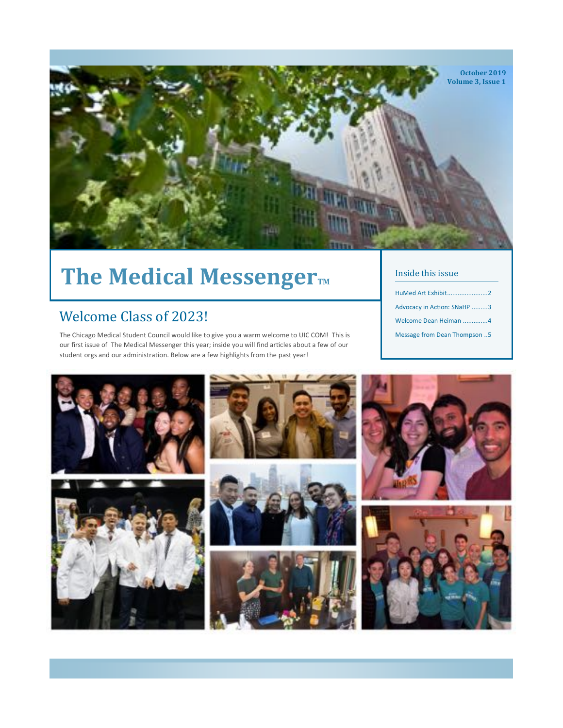

# The Medical Messenger<sub>TM</sub>

### Welcome Class of 2023!

The Chicago Medical Student Council would like to give you a warm welcome to UIC COM! This is our first issue of The Medical Messenger this year; inside you will find articles about a few of our student orgs and our administraton. Below are a few highlights from the past year!

#### Inside this issue

- HuMed Art Exhibit.......................2 Advocacy in Action: SNaHP .........3 Welcome Dean Heiman ..............4
- Message from Dean Thompson ..5

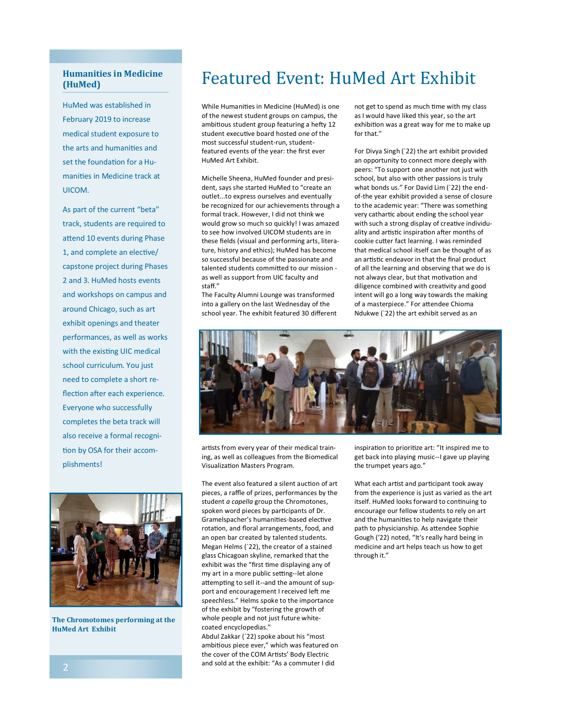#### **Humanities in Medicine (HuMed)**

HuMed was established in February 2019 to increase medical student exposure to the arts and humanities and set the foundation for a Humanites in Medicine track at UICOM.

As part of the current "beta" track, students are required to attend 10 events during Phase 1, and complete an elective/ capstone project during Phases 2 and 3. HuMed hosts events and workshops on campus and around Chicago, such as art exhibit openings and theater performances, as well as works with the existing UIC medical school curriculum. You just need to complete a short reflection after each experience. Everyone who successfully completes the beta track will also receive a formal recognition by OSA for their accomplishments!



**The Chromotomes performing at the HuMed Art Exhibit**

## Featured Event: HuMed Art Exhibit

While Humanites in Medicine (HuMed) is one of the newest student groups on campus, the ambitous student group featuring a hefy 12 student executive board hosted one of the most successful student-run, studentfeatured events of the year: the frst ever HuMed Art Exhibit.

Michelle Sheena, HuMed founder and president, says she started HuMed to "create an outlet...to express ourselves and eventually be recognized for our achievements through a formal track. However, I did not think we would grow so much so quickly! I was amazed to see how involved UICOM students are in these felds (visual and performing arts, literature, history and ethics); HuMed has become so successful because of the passionate and talented students commited to our mission as well as support from UIC faculty and staf."

The Faculty Alumni Lounge was transformed into a gallery on the last Wednesday of the school year. The exhibit featured 30 diferent not get to spend as much time with my class as I would have liked this year, so the art exhibiton was a great way for me to make up for that."

For Divya Singh (`22) the art exhibit provided an opportunity to connect more deeply with peers: "To support one another not just with school, but also with other passions is truly what bonds us." For David Lim (`22) the endof-the year exhibit provided a sense of closure to the academic year: "There was something very cathartic about ending the school year with such a strong display of creative individuality and artistic inspiration after months of cookie cuter fact learning. I was reminded that medical school itself can be thought of as an artistic endeavor in that the final product of all the learning and observing that we do is not always clear, but that motivation and diligence combined with creativity and good intent will go a long way towards the making of a masterpiece." For attendee Chioma Ndukwe (`22) the art exhibit served as an



artists from every year of their medical training, as well as colleagues from the Biomedical Visualizaton Masters Program.

The event also featured a silent auction of art pieces, a raffle of prizes, performances by the student *a capella* group the Chromotones, spoken word pieces by participants of Dr. Gramelspacher's humanities-based elective rotation, and floral arrangements, food, and an open bar created by talented students. Megan Helms (`22), the creator of a stained glass Chicagoan skyline, remarked that the exhibit was the "first time displaying any of my art in a more public setting--let alone attempting to sell it--and the amount of support and encouragement I received left me speechless." Helms spoke to the importance of the exhibit by "fostering the growth of whole people and not just future whitecoated encyclopedias."

Abdul Zakkar (`22) spoke about his "most ambitous piece ever," which was featured on the cover of the COM Artists' Body Electric and sold at the exhibit: "As a commuter I did

inspiration to prioritize art: "It inspired me to get back into playing music--I gave up playing the trumpet years ago."

What each artist and participant took away from the experience is just as varied as the art itself. HuMed looks forward to continuing to encourage our fellow students to rely on art and the humanities to help navigate their path to physicianship. As attendee Sophie Gough ('22) noted, "It's really hard being in medicine and art helps teach us how to get through it."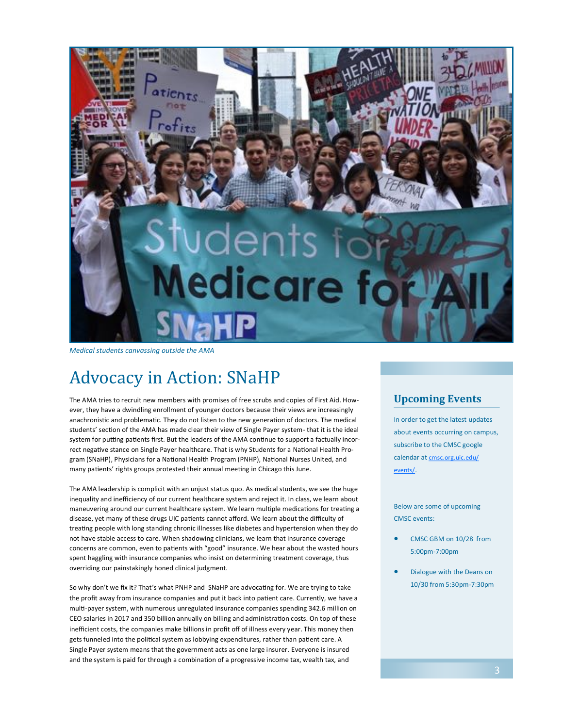

*Medical students canvassing outside the AMA*

# Advocacy in Action: SNaHP

The AMA tries to recruit new members with promises of free scrubs and copies of First Aid. However, they have a dwindling enrollment of younger doctors because their views are increasingly anachronistic and problematic. They do not listen to the new generation of doctors. The medical students' section of the AMA has made clear their view of Single Payer system- that it is the ideal system for putting patients first. But the leaders of the AMA continue to support a factually incorrect negative stance on Single Payer healthcare. That is why Students for a National Health Program (SNaHP), Physicians for a Natonal Health Program (PNHP), Natonal Nurses United, and many patients' rights groups protested their annual meeting in Chicago this June.

The AMA leadership is complicit with an unjust status quo. As medical students, we see the huge inequality and inefficiency of our current healthcare system and reject it. In class, we learn about maneuvering around our current healthcare system. We learn multiple medications for treating a disease, yet many of these drugs UIC patients cannot afford. We learn about the difficulty of treatng people with long standing chronic illnesses like diabetes and hypertension when they do not have stable access to care. When shadowing clinicians, we learn that insurance coverage concerns are common, even to patients with "good" insurance. We hear about the wasted hours spent haggling with insurance companies who insist on determining treatment coverage, thus overriding our painstakingly honed clinical judgment.

So why don't we fix it? That's what PNHP and SNaHP are advocating for. We are trying to take the profit away from insurance companies and put it back into patient care. Currently, we have a mult-payer system, with numerous unregulated insurance companies spending 342.6 million on CEO salaries in 2017 and 350 billion annually on billing and administraton costs. On top of these inefficient costs, the companies make billions in profit off of illness every year. This money then gets funneled into the politcal system as lobbying expenditures, rather than patent care. A Single Payer system means that the government acts as one large insurer. Everyone is insured and the system is paid for through a combination of a progressive income tax, wealth tax, and

### **Upcoming Events**

In order to get the latest updates about events occurring on campus, subscribe to the CMSC google calendar at [cmsc.org.uic.edu/](https://cmsc.org.uic.edu/events/) [events/.](https://cmsc.org.uic.edu/events/)

Below are some of upcoming CMSC events:

- CMSC GBM on 10/28 from 5:00pm-7:00pm
- Dialogue with the Deans on 10/30 from 5:30pm-7:30pm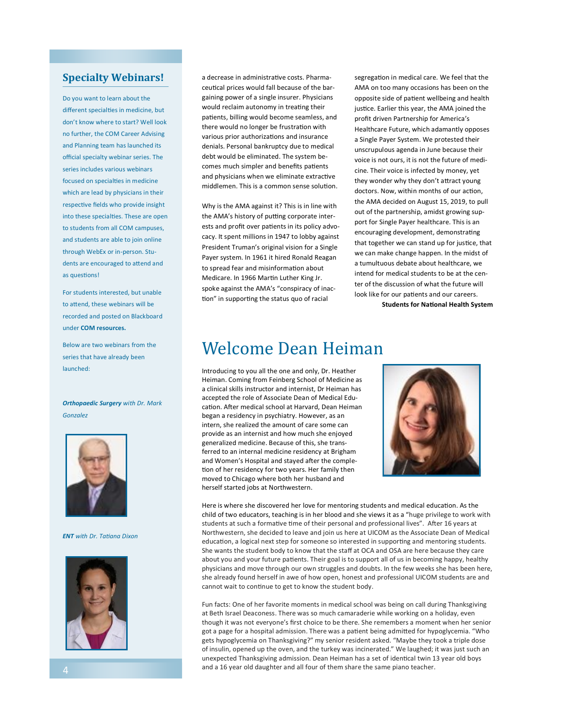### **Specialty Webinars!**

Do you want to learn about the different specialties in medicine, but don't know where to start? Well look no further, the COM Career Advising and Planning team has launched its official specialty webinar series. The series includes various webinars focused on specialties in medicine which are lead by physicians in their respective fields who provide insight into these specialties. These are open to students from all COM campuses, and students are able to join online through WebEx or in-person. Students are encouraged to attend and as questons!

For students interested, but unable to attend, these webinars will be recorded and posted on Blackboard under **COM resources.**

Below are two webinars from the series that have already been launched:

*Orthopaedic Surgery with Dr. Mark Gonzalez*



*ENT with Dr. Tatana Dixon*



a decrease in administrative costs. Pharmaceutical prices would fall because of the bargaining power of a single insurer. Physicians would reclaim autonomy in treating their patients, billing would become seamless, and there would no longer be frustration with various prior authorizations and insurance denials. Personal bankruptcy due to medical debt would be eliminated. The system becomes much simpler and benefts patents and physicians when we eliminate extractive middlemen. This is a common sense solution.

Why is the AMA against it? This is in line with the AMA's history of putting corporate interests and profit over patients in its policy advocacy. It spent millions in 1947 to lobby against President Truman's original vision for a Single Payer system. In 1961 it hired Ronald Reagan to spread fear and misinformation about Medicare. In 1966 Martin Luther King Jr. spoke against the AMA's "conspiracy of inaction" in supporting the status quo of racial

segregaton in medical care. We feel that the AMA on too many occasions has been on the opposite side of patent wellbeing and health justice. Earlier this year, the AMA joined the profit driven Partnership for America's Healthcare Future, which adamantly opposes a Single Payer System. We protested their unscrupulous agenda in June because their voice is not ours, it is not the future of medicine. Their voice is infected by money, yet they wonder why they don't atract young doctors. Now, within months of our action, the AMA decided on August 15, 2019, to pull out of the partnership, amidst growing support for Single Payer healthcare. This is an encouraging development, demonstrating that together we can stand up for justice, that we can make change happen. In the midst of a tumultuous debate about healthcare, we intend for medical students to be at the center of the discussion of what the future will look like for our patients and our careers.

**Students for Natonal Health System**

### Welcome Dean Heiman

Introducing to you all the one and only, Dr. Heather Heiman. Coming from Feinberg School of Medicine as a clinical skills instructor and internist, Dr Heiman has accepted the role of Associate Dean of Medical Education. After medical school at Harvard, Dean Heiman began a residency in psychiatry. However, as an intern, she realized the amount of care some can provide as an internist and how much she enjoyed generalized medicine. Because of this, she transferred to an internal medicine residency at Brigham and Women's Hospital and stayed after the completion of her residency for two years. Her family then moved to Chicago where both her husband and herself started jobs at Northwestern.



Here is where she discovered her love for mentoring students and medical education. As the child of two educators, teaching is in her blood and she views it as a "huge privilege to work with students at such a formative time of their personal and professional lives". After 16 years at Northwestern, she decided to leave and join us here at UICOM as the Associate Dean of Medical education, a logical next step for someone so interested in supporting and mentoring students. She wants the student body to know that the staff at OCA and OSA are here because they care about you and your future patients. Their goal is to support all of us in becoming happy, healthy physicians and move through our own struggles and doubts. In the few weeks she has been here, she already found herself in awe of how open, honest and professional UICOM students are and cannot wait to continue to get to know the student body.

Fun facts: One of her favorite moments in medical school was being on call during Thanksgiving at Beth Israel Deaconess. There was so much camaraderie while working on a holiday, even though it was not everyone's frst choice to be there. She remembers a moment when her senior got a page for a hospital admission. There was a patent being admited for hypoglycemia. "Who gets hypoglycemia on Thanksgiving?" my senior resident asked. "Maybe they took a triple dose of insulin, opened up the oven, and the turkey was incinerated." We laughed; it was just such an unexpected Thanksgiving admission. Dean Heiman has a set of identcal twin 13 year old boys and a 16 year old daughter and all four of them share the same piano teacher.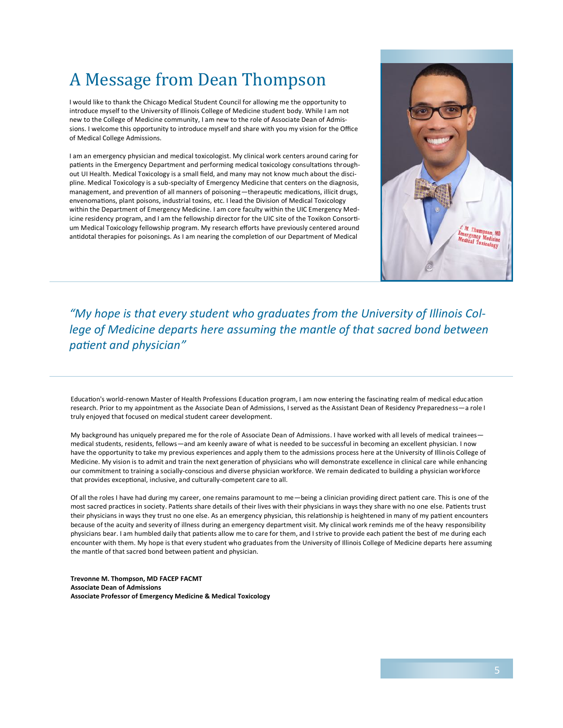# A Message from Dean Thompson

I would like to thank the Chicago Medical Student Council for allowing me the opportunity to introduce myself to the University of Illinois College of Medicine student body. While I am not new to the College of Medicine community, I am new to the role of Associate Dean of Admissions. I welcome this opportunity to introduce myself and share with you my vision for the Office of Medical College Admissions.

I am an emergency physician and medical toxicologist. My clinical work centers around caring for patents in the Emergency Department and performing medical toxicology consultatons throughout UI Health. Medical Toxicology is a small feld, and many may not know much about the discipline. Medical Toxicology is a sub-specialty of Emergency Medicine that centers on the diagnosis, management, and prevention of all manners of poisoning—therapeutic medications, illicit drugs, envenomations, plant poisons, industrial toxins, etc. I lead the Division of Medical Toxicology within the Department of Emergency Medicine. I am core faculty within the UIC Emergency Medicine residency program, and I am the fellowship director for the UIC site of the Toxikon Consortum Medical Toxicology fellowship program. My research efforts have previously centered around antidotal therapies for poisonings. As I am nearing the completion of our Department of Medical



*"My hope is that every student who graduates from the University of Illinois College of Medicine departs here assuming the mantle of that sacred bond between patent and physician"*

Education's world-renown Master of Health Professions Education program, I am now entering the fascinating realm of medical education research. Prior to my appointment as the Associate Dean of Admissions, I served as the Assistant Dean of Residency Preparedness—a role I truly enjoyed that focused on medical student career development.

My background has uniquely prepared me for the role of Associate Dean of Admissions. I have worked with all levels of medical trainees medical students, residents, fellows—and am keenly aware of what is needed to be successful in becoming an excellent physician. I now have the opportunity to take my previous experiences and apply them to the admissions process here at the University of Illinois College of Medicine. My vision is to admit and train the next generation of physicians who will demonstrate excellence in clinical care while enhancing our commitment to training a socially-conscious and diverse physician workforce. We remain dedicated to building a physician workforce that provides exceptional, inclusive, and culturally-competent care to all.

Of all the roles I have had during my career, one remains paramount to me—being a clinician providing direct patent care. This is one of the most sacred practices in society. Patients share details of their lives with their physicians in ways they share with no one else. Patients trust their physicians in ways they trust no one else. As an emergency physician, this relatonship is heightened in many of my patent encounters because of the acuity and severity of illness during an emergency department visit. My clinical work reminds me of the heavy responsibility physicians bear. I am humbled daily that patients allow me to care for them, and I strive to provide each patient the best of me during each encounter with them. My hope is that every student who graduates from the University of Illinois College of Medicine departs here assuming the mantle of that sacred bond between patent and physician.

**Trevonne M. Thompson, MD FACEP FACMT Associate Dean of Admissions Associate Professor of Emergency Medicine & Medical Toxicology**